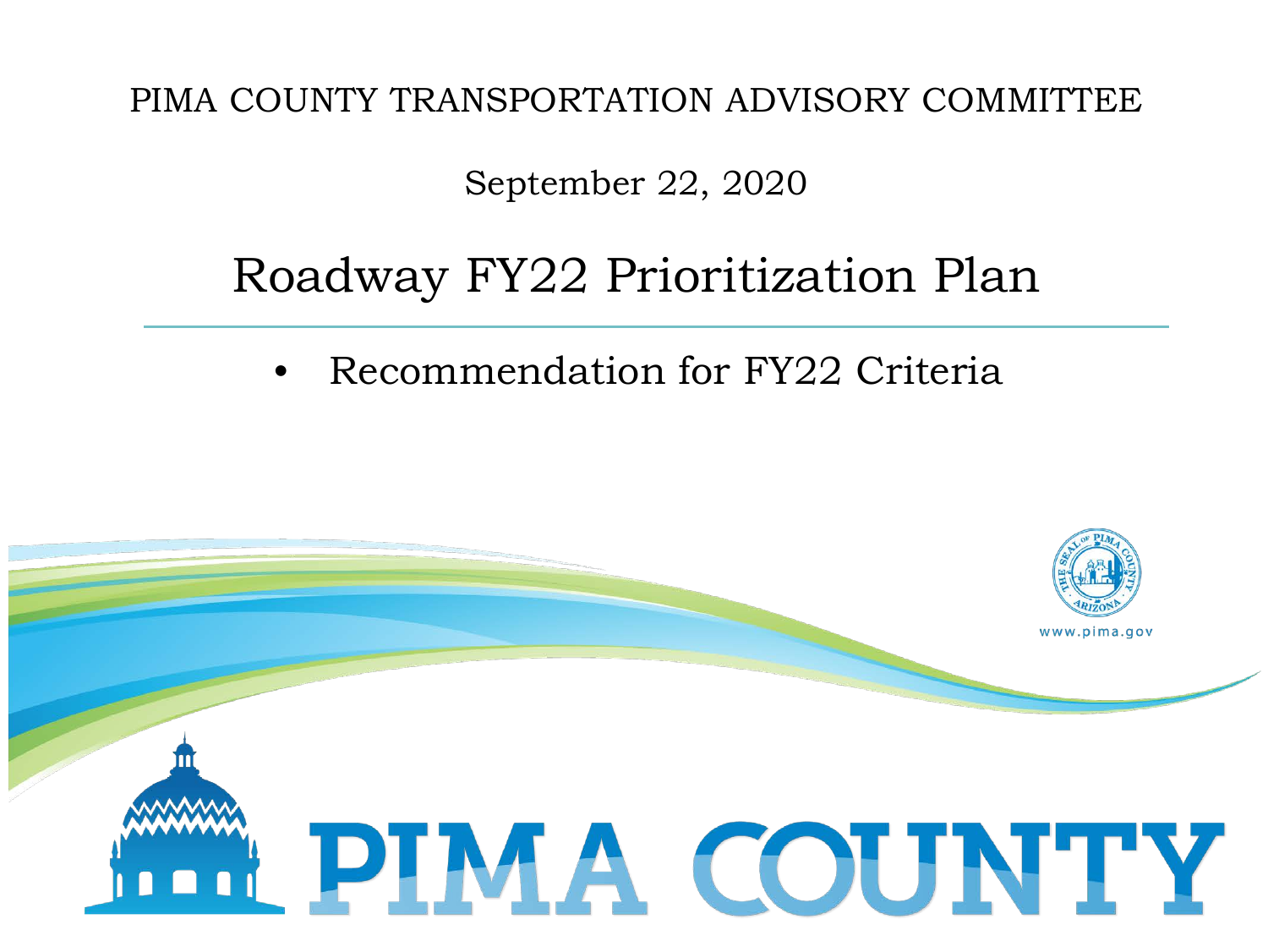PIMA COUNTY TRANSPORTATION ADVISORY COMMITTEE

September 22, 2020

#### Roadway FY22 Prioritization Plan

Recommendation for FY22 Criteria

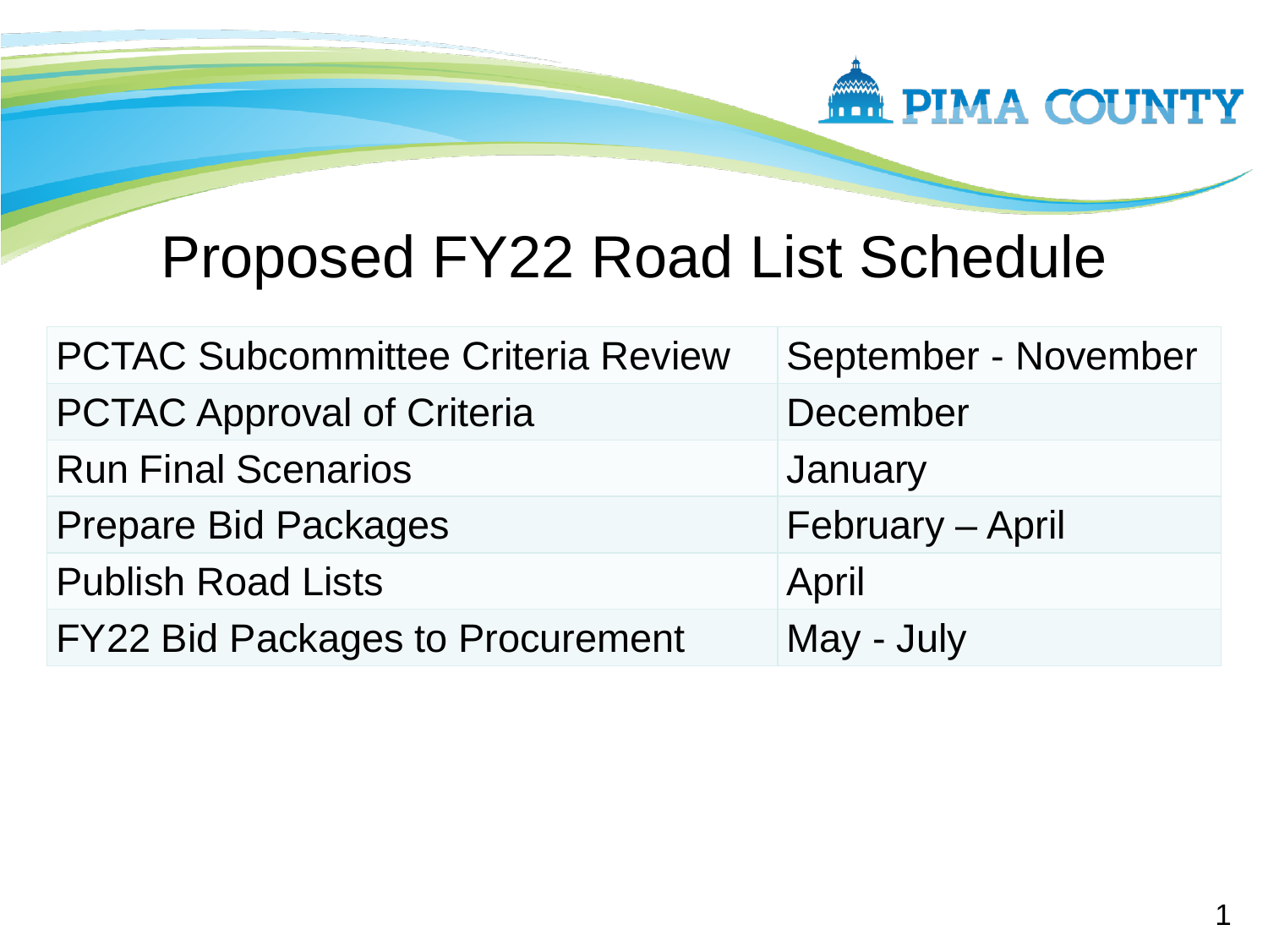

# Proposed FY22 Road List Schedule

| <b>PCTAC Subcommittee Criteria Review</b> | September - November |
|-------------------------------------------|----------------------|
| <b>PCTAC Approval of Criteria</b>         | December             |
| <b>Run Final Scenarios</b>                | January              |
| <b>Prepare Bid Packages</b>               | February – April     |
| <b>Publish Road Lists</b>                 | April                |
| <b>FY22 Bid Packages to Procurement</b>   | May - July           |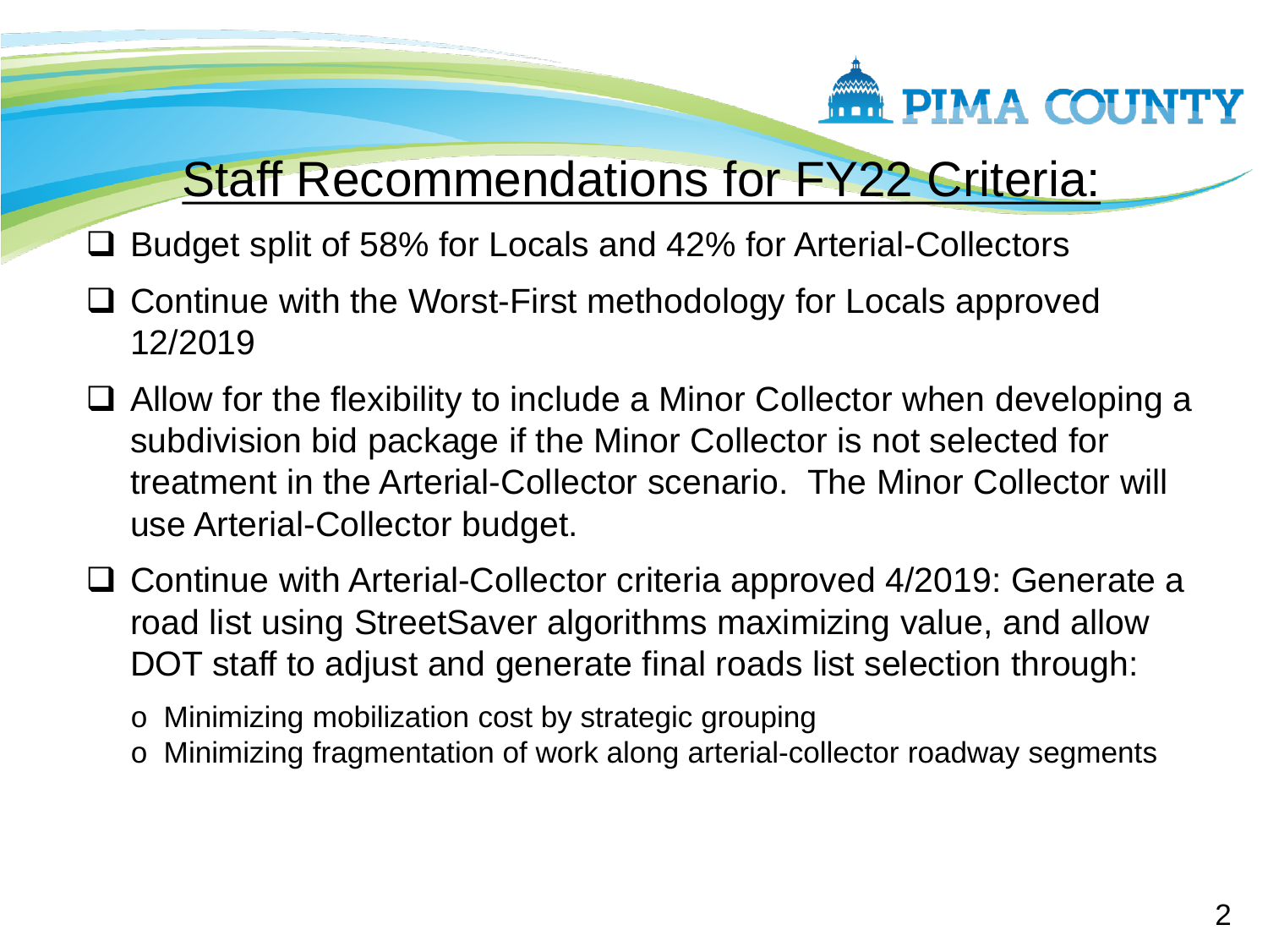

### Staff Recommendations for FY22 Criteria:

- □ Budget split of 58% for Locals and 42% for Arterial-Collectors
- □ Continue with the Worst-First methodology for Locals approved 12/2019
- $\square$  Allow for the flexibility to include a Minor Collector when developing a subdivision bid package if the Minor Collector is not selected for treatment in the Arterial-Collector scenario. The Minor Collector will use Arterial-Collector budget.
- □ Continue with Arterial-Collector criteria approved 4/2019: Generate a road list using StreetSaver algorithms maximizing value, and allow DOT staff to adjust and generate final roads list selection through:
	- o Minimizing mobilization cost by strategic grouping
	- o Minimizing fragmentation of work along arterial-collector roadway segments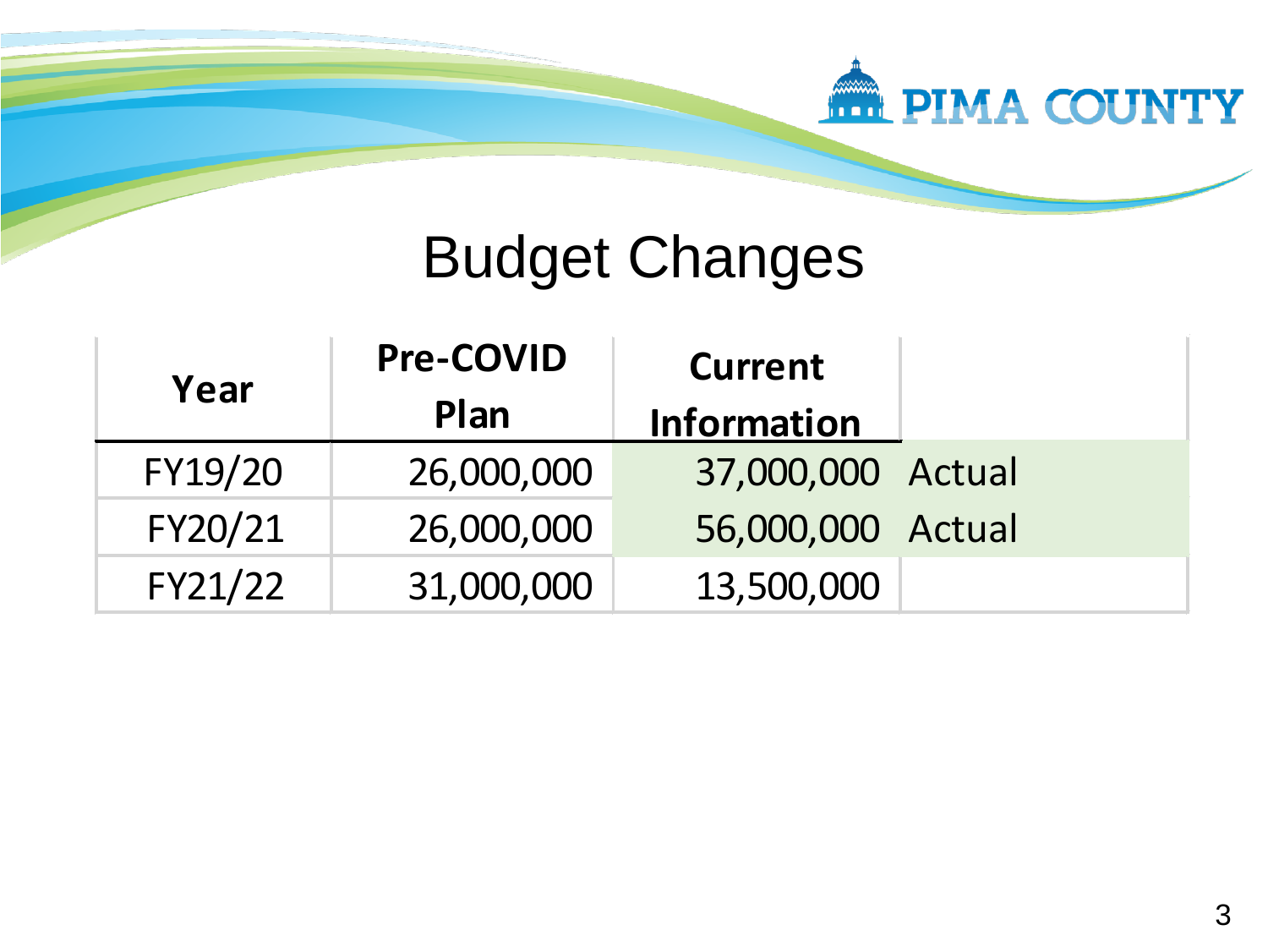

## Budget Changes

| Year    | <b>Pre-COVID</b><br>Plan | <b>Current</b><br><b>Information</b> |  |
|---------|--------------------------|--------------------------------------|--|
| FY19/20 | 26,000,000               | 37,000,000 Actual                    |  |
| FY20/21 | 26,000,000               | 56,000,000 Actual                    |  |
| FY21/22 | 31,000,000               | 13,500,000                           |  |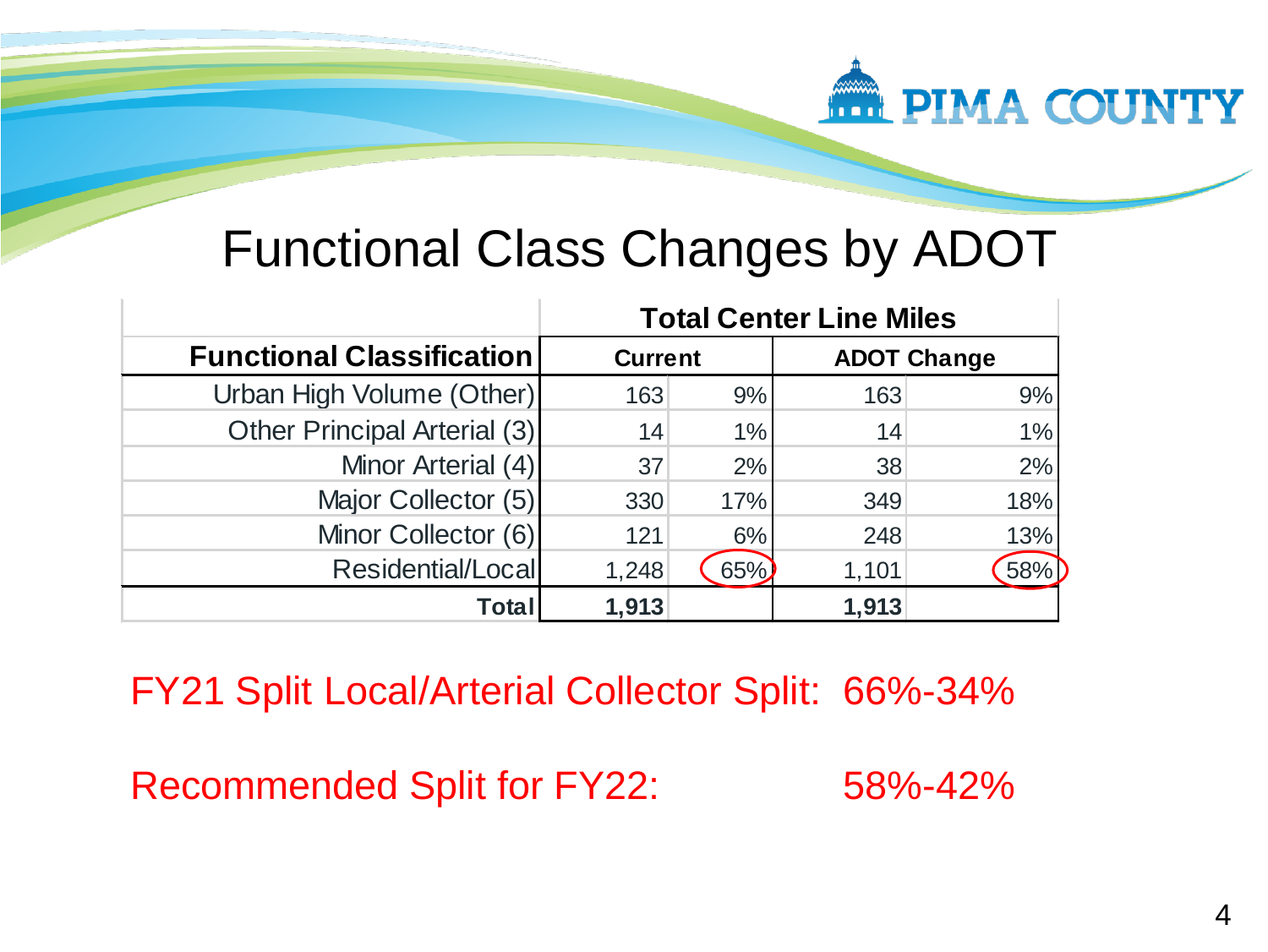

#### Functional Class Changes by ADOT

|                                  | <b>Total Center Line Miles</b> |       |                    |       |
|----------------------------------|--------------------------------|-------|--------------------|-------|
| <b>Functional Classification</b> | <b>Current</b>                 |       | <b>ADOT Change</b> |       |
| Urban High Volume (Other)        | 163                            | 9%    | 163                | 9%    |
| Other Principal Arterial (3)     | 14                             | $1\%$ | 14                 | $1\%$ |
| Minor Arterial (4)               | 37                             | 2%    | 38                 | 2%    |
| Major Collector (5)              | 330                            | 17%   | 349                | 18%   |
| Minor Collector (6)              | 121                            | 6%    | 248                | 13%   |
| Residential/Local                | 1,248                          | 65%   | 1,101              | 58%   |
| Total                            | 1,913                          |       | 1,913              |       |

FY21 Split Local/Arterial Collector Split: 66%-34%

Recommended Split for FY22: 58%-42%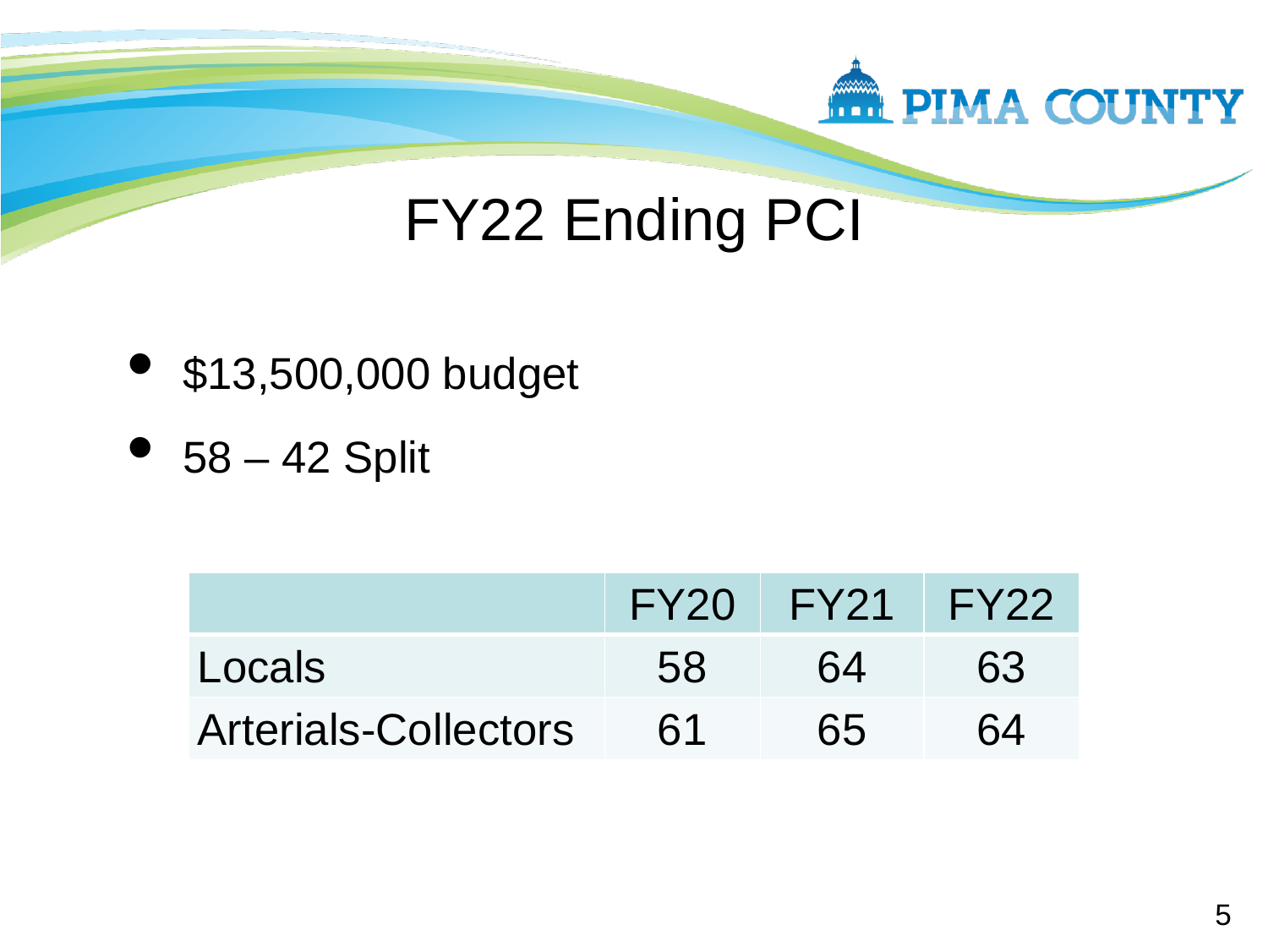

## FY22 Ending PCI

- \$13,500,000 budget
- $58 42$  Split

|                             |    | FY20 FY21 FY22 |    |
|-----------------------------|----|----------------|----|
| Locals                      | 58 | 64             | 63 |
| <b>Arterials-Collectors</b> | 61 | 65             | 64 |